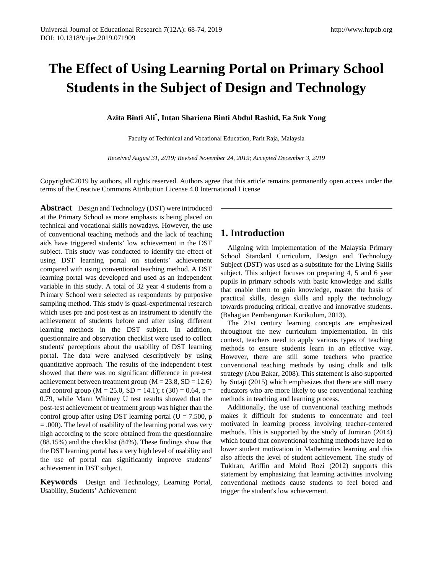# **The Effect of Using Learning Portal on Primary School Students in the Subject of Design and Technology**

**Azita Binti Ali\* , Intan Shariena Binti Abdul Rashid, Ea Suk Yong**

Faculty of Techinical and Vocational Education, Parit Raja, Malaysia

*Received August 31, 2019; Revised November 24, 2019; Accepted December 3, 2019* 

Copyright©2019 by authors, all rights reserved. Authors agree that this article remains permanently open access under the terms of the Creative Commons Attribution License 4.0 International License

**Abstract** Design and Technology (DST) were introduced at the Primary School as more emphasis is being placed on technical and vocational skills nowadays. However, the use of conventional teaching methods and the lack of teaching aids have triggered students' low achievement in the DST subject. This study was conducted to identify the effect of using DST learning portal on students' achievement compared with using conventional teaching method. A DST learning portal was developed and used as an independent variable in this study. A total of 32 year 4 students from a Primary School were selected as respondents by purposive sampling method. This study is quasi-experimental research which uses pre and post-test as an instrument to identify the achievement of students before and after using different learning methods in the DST subject. In addition, questionnaire and observation checklist were used to collect students' perceptions about the usability of DST learning portal. The data were analysed descriptively by using quantitative approach. The results of the independent t-test showed that there was no significant difference in pre-test achievement between treatment group ( $M = 23.8$ ,  $SD = 12.6$ ) and control group ( $M = 25.0$ ,  $SD = 14.1$ ); t (30) = 0.64, p = 0.79, while Mann Whitney U test results showed that the post-test achievement of treatment group was higher than the control group after using DST learning portal ( $U = 7.500$ , p = .000). The level of usability of the learning portal was very high according to the score obtained from the questionnaire (88.15%) and the checklist (84%). These findings show that the DST learning portal has a very high level of usability and the use of portal can significantly improve students' achievement in DST subject.

**Keywords** Design and Technology, Learning Portal, Usability, Students' Achievement

# **1. Introduction**

Aligning with implementation of the Malaysia Primary School Standard Curriculum, Design and Technology Subject (DST) was used as a substitute for the Living Skills subject. This subject focuses on preparing 4, 5 and 6 year pupils in primary schools with basic knowledge and skills that enable them to gain knowledge, master the basis of practical skills, design skills and apply the technology towards producing critical, creative and innovative students. (Bahagian Pembangunan Kurikulum, 2013).

The 21st century learning concepts are emphasized throughout the new curriculum implementation. In this context, teachers need to apply various types of teaching methods to ensure students learn in an effective way. However, there are still some teachers who practice conventional teaching methods by using chalk and talk strategy (Abu Bakar, 2008). This statement is also supported by Sutaji (2015) which emphasizes that there are still many educators who are more likely to use conventional teaching methods in teaching and learning process.

Additionally, the use of conventional teaching methods makes it difficult for students to concentrate and feel motivated in learning process involving teacher-centered methods. This is supported by the study of Jumiran (2014) which found that conventional teaching methods have led to lower student motivation in Mathematics learning and this also affects the level of student achievement. The study of Tukiran, Ariffin and Mohd Rozi (2012) supports this statement by emphasizing that learning activities involving conventional methods cause students to feel bored and trigger the student's low achievement.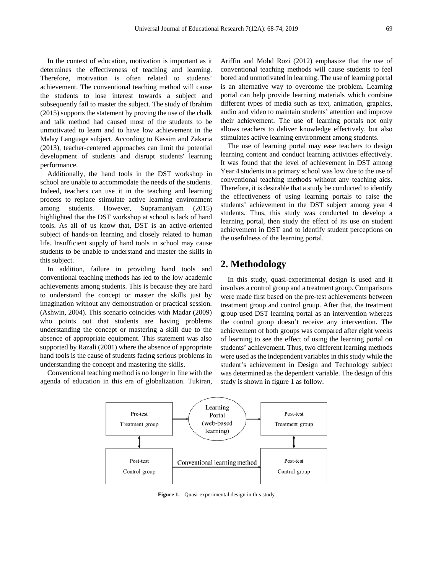In the context of education, motivation is important as it determines the effectiveness of teaching and learning. Therefore, motivation is often related to students' achievement. The conventional teaching method will cause the students to lose interest towards a subject and subsequently fail to master the subject. The study of Ibrahim (2015) supports the statement by proving the use of the chalk and talk method had caused most of the students to be unmotivated to learn and to have low achievement in the Malay Language subject. According to Kassim and Zakaria (2013), teacher-centered approaches can limit the potential development of students and disrupt students' learning performance.

Additionally, the hand tools in the DST workshop in school are unable to accommodate the needs of the students. Indeed, teachers can use it in the teaching and learning process to replace stimulate active learning environment among students. However, Supramaniyam (2015) highlighted that the DST workshop at school is lack of hand tools. As all of us know that, DST is an active-oriented subject of hands-on learning and closely related to human life. Insufficient supply of hand tools in school may cause students to be unable to understand and master the skills in this subject.

In addition, failure in providing hand tools and conventional teaching methods has led to the low academic achievements among students. This is because they are hard to understand the concept or master the skills just by imagination without any demonstration or practical session. (Ashwin, 2004). This scenario coincides with Madar (2009) who points out that students are having problems understanding the concept or mastering a skill due to the absence of appropriate equipment. This statement was also supported by Razali (2001) where the absence of appropriate hand tools is the cause of students facing serious problems in understanding the concept and mastering the skills.

Conventional teaching method is no longer in line with the agenda of education in this era of globalization. Tukiran, Ariffin and Mohd Rozi (2012) emphasize that the use of conventional teaching methods will cause students to feel bored and unmotivated in learning. The use of learning portal is an alternative way to overcome the problem. Learning portal can help provide learning materials which combine different types of media such as text, animation, graphics, audio and video to maintain students' attention and improve their achievement. The use of learning portals not only allows teachers to deliver knowledge effectively, but also stimulates active learning environment among students.

The use of learning portal may ease teachers to design learning content and conduct learning activities effectively. It was found that the level of achievement in DST among Year 4 students in a primary school was low due to the use of conventional teaching methods without any teaching aids. Therefore, it is desirable that a study be conducted to identify the effectiveness of using learning portals to raise the students' achievement in the DST subject among year 4 students. Thus, this study was conducted to develop a learning portal, then study the effect of its use on student achievement in DST and to identify student perceptions on the usefulness of the learning portal.

# **2. Methodology**

In this study, quasi-experimental design is used and it involves a control group and a treatment group. Comparisons were made first based on the pre-test achievements between treatment group and control group. After that, the treatment group used DST learning portal as an intervention whereas the control group doesn't receive any intervention. The achievement of both groups was compared after eight weeks of learning to see the effect of using the learning portal on students' achievement. Thus, two different learning methods were used as the independent variables in this study while the student's achievement in Design and Technology subject was determined as the dependent variable. The design of this study is shown in figure 1 as follow.



**Figure 1.** Quasi-experimental design in this study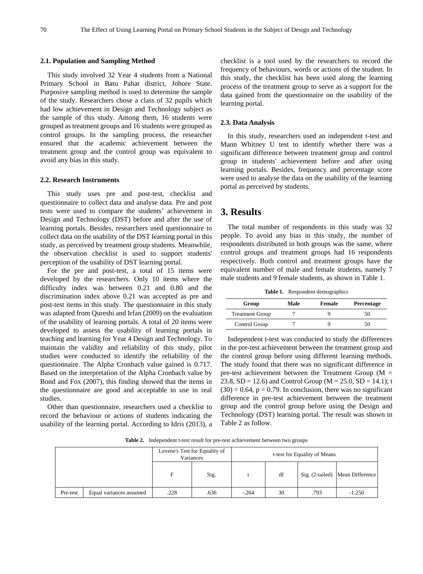#### **2.1. Population and Sampling Method**

This study involved 32 Year 4 students from a National Primary School in Batu Pahat district, Johore State. Purposive sampling method is used to determine the sample of the study. Researchers chose a class of 32 pupils which had low achievement in Design and Technology subject as the sample of this study. Among them, 16 students were grouped as treatment groups and 16 students were grouped as control groups. In the sampling process, the researcher ensured that the academic achievement between the treatment group and the control group was equivalent to avoid any bias in this study.

#### **2.2. Research Instruments**

This study uses pre and post-test, checklist and questionnaire to collect data and analyse data. Pre and post tests were used to compare the students' achievement in Design and Technology (DST) before and after the use of learning portals. Besides, researchers used questionnaire to collect data on the usability of the DST learning portal in this study, as perceived by treatment group students. Meanwhile, the observation checklist is used to support students' perception of the usability of DST learning portal.

For the pre and post-test, a total of 15 items were developed by the researchers. Only 10 items where the difficulty index was between 0.21 and 0.80 and the discrimination index above 0.21 was accepted as pre and post-test items in this study. The questionnaire in this study was adapted from Qureshi and Irfan (2009) on the evaluation of the usability of learning portals. A total of 20 items were developed to assess the usability of learning portals in teaching and learning for Year 4 Design and Technology. To maintain the validity and reliability of this study, pilot studies were conducted to identify the reliability of the questionnaire. The Alpha Cronbach value gained is 0.717. Based on the interpretation of the Alpha Cronbach value by Bond and Fox (2007), this finding showed that the items in the questionnaire are good and acceptable to use in real studies.

Other than questionnaire, researchers used a checklist to record the behaviour or actions of students indicating the usability of the learning portal. According to Idris (2013), a checklist is a tool used by the researchers to record the frequency of behaviours, words or actions of the student. In this study, the checklist has been used along the learning process of the treatment group to serve as a support for the data gained from the questionnaire on the usability of the learning portal.

#### **2.3. Data Analysis**

In this study, researchers used an independent t-test and Mann Whitney U test to identify whether there was a significant difference between treatment group and control group in students' achievement before and after using learning portals. Besides, frequency and percentage score were used to analyse the data on the usability of the learning portal as perceived by students.

## **3. Results**

The total number of respondents in this study was 32 people. To avoid any bias in this study, the number of respondents distributed in both groups was the same, where control groups and treatment groups had 16 respondents respectively. Both control and treatment groups have the equivalent number of male and female students, namely 7 male students and 9 female students, as shown in Table 1.

**Table 1.** Respondent demographics

| Group                  | Male | Female | Percentage |  |  |
|------------------------|------|--------|------------|--|--|
| <b>Treatment Group</b> |      |        | 50         |  |  |
| Control Group          |      |        | 50         |  |  |

Independent t-test was conducted to study the differences in the pre-test achievement between the treatment group and the control group before using different learning methods. The study found that there was no significant difference in pre-test achievement between the Treatment Group ( $M =$ 23.8,  $SD = 12.6$ ) and Control Group ( $M = 25.0$ ,  $SD = 14.1$ ); t  $(30) = 0.64$ ,  $p = 0.79$ . In conclusion, there was no significant difference in pre-test achievement between the treatment group and the control group before using the Design and Technology (DST) learning portal. The result was shown in Table 2 as follow.

**Table 2.** Independent t-test result for pre-test achievement between two groups

|          |                         | Levene's Test for Equality of<br>Variances |      | t-test for Equality of Means |    |      |                                   |  |
|----------|-------------------------|--------------------------------------------|------|------------------------------|----|------|-----------------------------------|--|
|          |                         | F                                          | Sig. |                              | df |      | Sig. (2-tailed)   Mean Difference |  |
| Pre-test | Equal variances assumed | .228                                       | .636 | $-.264$                      | 30 | .793 | $-1.250$                          |  |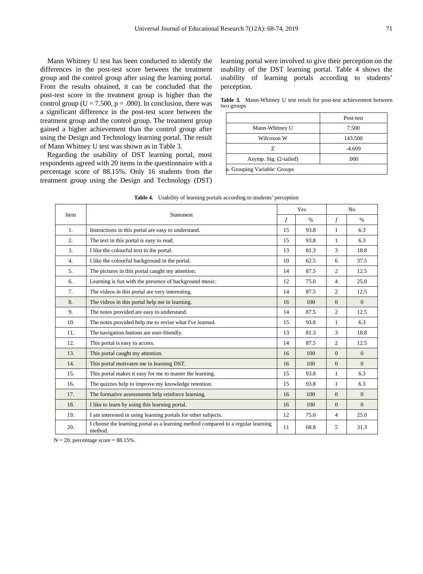Mann Whitney U test has been conducted to identify the differences in the post-test score between the treatment group and the control group after using the learning portal. From the results obtained, it can be concluded that the post-test score in the treatment group is higher than the control group ( $U = 7.500$ ,  $p = .000$ ). In conclusion, there was a significant difference in the post-test score between the treatment group and the control group. The treatment group gained a higher achievement than the control group after using the Design and Technology learning portal. The result of Mann Whitney U test was shown as in Table 3.

Regarding the usability of DST learning portal, most respondents agreed with 20 items in the questionnaire with a percentage score of 88.15%. Only 16 students from the treatment group using the Design and Technology (DST) learning portal were involved to give their perception on the usability of the DST learning portal. Table 4 shows the usability of learning portals according to students' perception.

**Table 3.** Mann-Whitney U test result for post-test achievement between two groups

|                              | Post-test |
|------------------------------|-----------|
| Mann-Whitney U               | 7.500     |
| Wilcoxon W                   | 143.500   |
| 7.                           | $-4.609$  |
| Asymp. Sig. (2-tailed)       | .000      |
| a. Grouping Variable: Groups |           |

|                | Statement                                                                                   | Yes |      | N <sub>o</sub> |                |
|----------------|---------------------------------------------------------------------------------------------|-----|------|----------------|----------------|
|                | Item                                                                                        |     | $\%$ | $\mathcal{f}$  | $\%$           |
| 1.             | Instructions in this portal are easy to understand.                                         |     | 93.8 | $\mathbf{1}$   | 6.3            |
| 2.             | The text in this portal is easy to read.                                                    |     | 93.8 | $\mathbf{1}$   | 6.3            |
| 3.             | I like the colourful text in the portal.                                                    |     | 81.3 | 3              | 18.8           |
| 4.             | I like the colourful background in the portal.                                              | 10  | 62.5 | 6              | 37.5           |
| 5.             | The pictures in this portal caught my attention.                                            | 14  | 87.5 | $\overline{c}$ | 12.5           |
| 6.             | Learning is fun with the presence of background music.                                      | 12  | 75.0 | 4              | 25.0           |
| 7 <sub>1</sub> | The videos in this portal are very interesting.                                             | 14  | 87.5 | 2              | 12.5           |
| 8.             | The videos in this portal help me in learning.                                              | 16  | 100  | $\overline{0}$ | $\overline{0}$ |
| 9.             | The notes provided are easy to understand.                                                  | 14  | 87.5 | $\overline{2}$ | 12.5           |
| 10.            | The notes provided help me to revise what I've learned.                                     | 15  | 93.8 | $\mathbf{1}$   | 6.3            |
| 11.            | The navigation buttons are user-friendly.                                                   | 13  | 81.3 | 3              | 18.8           |
| 12.            | This portal is easy to access.                                                              | 14  | 87.5 | 2              | 12.5           |
| 13.            | This portal caught my attention.                                                            | 16  | 100  | $\Omega$       | $\overline{0}$ |
| 14.            | This portal motivates me in learning DST.                                                   | 16  | 100  | $\Omega$       | $\Omega$       |
| 15.            | This portal makes it easy for me to master the learning.                                    | 15  | 93.8 | $\mathbf{1}$   | 6.3            |
| 16.            | The quizzes help to improve my knowledge retention.                                         | 15  | 93.8 | $\mathbf{1}$   | 6.3            |
| 17.            | The formative assessments help reinforce learning.                                          |     | 100  | $\Omega$       | $\Omega$       |
| 18.            | I like to learn by using this learning portal.                                              | 16  | 100  | $\overline{0}$ | $\overline{0}$ |
| 19.            | I am interested in using learning portals for other subjects.                               | 12  | 75.0 | 4              | 25.0           |
| 20.            | I choose the learning portal as a learning method compared to a regular learning<br>method. | 11  | 68.8 | 5              | 31.3           |

**Table 4.** Usability of learning portals according to students' perception

 $N = 20$ , percentage score = 88.15%.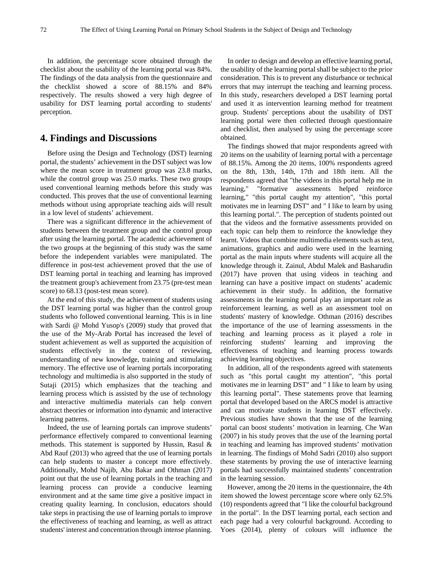In addition, the percentage score obtained through the checklist about the usability of the learning portal was 84%. The findings of the data analysis from the questionnaire and the checklist showed a score of 88.15% and 84% respectively. The results showed a very high degree of usability for DST learning portal according to students' perception.

### **4. Findings and Discussions**

Before using the Design and Technology (DST) learning portal, the students' achievement in the DST subject was low where the mean score in treatment group was 23.8 marks, while the control group was 25.0 marks. These two groups used conventional learning methods before this study was conducted. This proves that the use of conventional learning methods without using appropriate teaching aids will result in a low level of students' achievement.

There was a significant difference in the achievement of students between the treatment group and the control group after using the learning portal. The academic achievement of the two groups at the beginning of this study was the same before the independent variables were manipulated. The difference in post-test achievement proved that the use of DST learning portal in teaching and learning has improved the treatment group's achievement from 23.75 (pre-test mean score) to 68.13 (post-test mean score).

At the end of this study, the achievement of students using the DST learning portal was higher than the control group students who followed conventional learning. This is in line with Sardi @ Mohd Yusop's (2009) study that proved that the use of the My-Arab Portal has increased the level of student achievement as well as supported the acquisition of students effectively in the context of reviewing, understanding of new knowledge, training and stimulating memory. The effective use of learning portals incorporating technology and multimedia is also supported in the study of Sutaji (2015) which emphasizes that the teaching and learning process which is assisted by the use of technology and interactive multimedia materials can help convert abstract theories or information into dynamic and interactive learning patterns.

Indeed, the use of learning portals can improve students' performance effectively compared to conventional learning methods. This statement is supported by Hussin, Rasul & Abd Rauf (2013) who agreed that the use of learning portals can help students to master a concept more effectively. Additionally, Mohd Najib, Abu Bakar and Othman (2017) point out that the use of learning portals in the teaching and learning process can provide a conducive learning environment and at the same time give a positive impact in creating quality learning. In conclusion, educators should take steps in practising the use of learning portals to improve the effectiveness of teaching and learning, as well as attract students' interest and concentration through intense planning.

In order to design and develop an effective learning portal, the usability of the learning portal shall be subject to the prior consideration. This is to prevent any disturbance or technical errors that may interrupt the teaching and learning process. In this study, researchers developed a DST learning portal and used it as intervention learning method for treatment group. Students' perceptions about the usability of DST learning portal were then collected through questionnaire and checklist, then analysed by using the percentage score obtained.

The findings showed that major respondents agreed with 20 items on the usability of learning portal with a percentage of 88.15%. Among the 20 items, 100% respondents agreed on the 8th, 13th, 14th, 17th and 18th item. All the respondents agreed that "the videos in this portal help me in learning," "formative assessments helped reinforce learning," "this portal caught my attention", "this portal motivates me in learning DST" and " I like to learn by using this learning portal.". The perception of students pointed out that the videos and the formative assessments provided on each topic can help them to reinforce the knowledge they learnt. Videos that combine multimedia elements such as text, animations, graphics and audio were used in the learning portal as the main inputs where students will acquire all the knowledge through it. Zainul, Abdul Malek and Basharudin (2017) have proven that using videos in teaching and learning can have a positive impact on students' academic achievement in their study. In addition, the formative assessments in the learning portal play an important role as reinforcement learning, as well as an assessment tool on students' mastery of knowledge. Othman (2016) describes the importance of the use of learning assessments in the teaching and learning process as it played a role in reinforcing students' learning and improving the effectiveness of teaching and learning process towards achieving learning objectives.

In addition, all of the respondents agreed with statements such as "this portal caught my attention", "this portal motivates me in learning DST" and " I like to learn by using this learning portal". These statements prove that learning portal that developed based on the ARCS model is attractive and can motivate students in learning DST effectively. Previous studies have shown that the use of the learning portal can boost students' motivation in learning. Che Wan (2007) in his study proves that the use of the learning portal in teaching and learning has improved students' motivation in learning. The findings of Mohd Sadri (2010) also support these statements by proving the use of interactive learning portals had successfully maintained students' concentration in the learning session.

However, among the 20 items in the questionnaire, the 4th item showed the lowest percentage score where only 62.5% (10) respondents agreed that "I like the colourful background in the portal". In the DST learning portal, each section and each page had a very colourful background. According to Yoes (2014), plenty of colours will influence the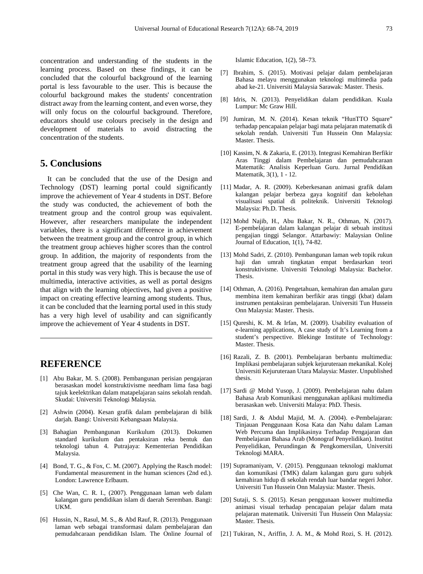concentration and understanding of the students in the learning process. Based on these findings, it can be concluded that the colourful background of the learning portal is less favourable to the user. This is because the colourful background makes the students' concentration distract away from the learning content, and even worse, they will only focus on the colourful background. Therefore, educators should use colours precisely in the design and development of materials to avoid distracting the concentration of the students.

## **5. Conclusions**

It can be concluded that the use of the Design and Technology (DST) learning portal could significantly improve the achievement of Year 4 students in DST. Before the study was conducted, the achievement of both the treatment group and the control group was equivalent. However, after researchers manipulate the independent variables, there is a significant difference in achievement between the treatment group and the control group, in which the treatment group achieves higher scores than the control group. In addition, the majority of respondents from the treatment group agreed that the usability of the learning portal in this study was very high. This is because the use of multimedia, interactive activities, as well as portal designs that align with the learning objectives, had given a positive impact on creating effective learning among students. Thus, it can be concluded that the learning portal used in this study has a very high level of usability and can significantly improve the achievement of Year 4 students in DST.

# **REFERENCE**

- [1] Abu Bakar, M. S. (2008). Pembangunan perisian pengajaran berasaskan model konstruktivisme needham lima fasa bagi tajuk keelektrikan dalam matapelajaran sains sekolah rendah. Skudai: Universiti Teknologi Malaysia.
- [2] Ashwin (2004). Kesan grafik dalam pembelajaran di bilik darjah. Bangi: Universiti Kebangsaan Malaysia.
- [3] Bahagian Pembangunan Kurikulum (2013). Dokumen standard kurikulum dan pentaksiran reka bentuk dan teknologi tahun 4. Putrajaya: Kementerian Pendidikan Malaysia.
- [4] Bond, T. G., & Fox, C. M. (2007). Applying the Rasch model: Fundamental measurement in the human sciences (2nd ed.). London: Lawrence Erlbaum.
- [5] Che Wan, C. R. I., (2007). Penggunaan laman web dalam kalangan guru pendidikan islam di daerah Seremban. Bangi: UKM.
- [6] Hussin, N., Rasul, M. S., & Abd Rauf, R. (2013). Penggunaan laman web sebagai transformasi dalam pembelajaran dan pemudahcaraan pendidikan Islam. The Online Journal of

Islamic Education, 1(2), 58–73.

- [7] Ibrahim, S. (2015). Motivasi pelajar dalam pembelajaran Bahasa melayu menggunakan teknologi multimedia pada abad ke-21. Universiti Malaysia Sarawak: Master. Thesis.
- [8] Idris, N. (2013). Penyelidikan dalam pendidikan. Kuala Lumpur: Mc Graw Hill.
- [9] Jumiran, M. N. (2014). Kesan teknik "HunTTO Square" terhadap pencapaian pelajar bagi mata pelajaran matematik di sekolah rendah. Universiti Tun Hussein Onn Malaysia: Master. Thesis.
- [10] Kassim, N. & Zakaria, E. (2013). Integrasi Kemahiran Berfikir Aras Tinggi dalam Pembelajaran dan pemudahcaraan Matematik: Analisis Keperluan Guru. Jurnal Pendidikan Matematik, 3(1), 1 - 12.
- [11] Madar, A. R. (2009). Keberkesanan animasi grafik dalam kalangan pelajar berbeza gaya kognitif dan kebolehan visualisasi spatial di politeknik. Universiti Teknologi Malaysia: Ph.D. Thesis.
- [12] Mohd Najib, H., Abu Bakar, N. R., Othman, N. (2017). E-pembelajaran dalam kalangan pelajar di sebuah institusi pengajian tinggi Selangor. Attarbawiy: Malaysian Online Journal of Education, 1(1), 74-82.
- [13] Mohd Sadri, Z. (2010). Pembangunan laman web topik rukun haji dan umrah tingkatan empat berdasarkan teori konstruktivisme. Universiti Teknologi Malaysia: Bachelor. Thesis.
- [14] Othman, A. (2016). Pengetahuan, kemahiran dan amalan guru membina item kemahiran berfikir aras tinggi (kbat) dalam instrumen pentaksiran pembelajaran. Universiti Tun Hussein Onn Malaysia: Master. Thesis.
- [15] Qureshi, K. M. & Irfan, M. (2009). Usability evaluation of e-learning applications, A case study of It's Learning from a student's perspective. Blekinge Institute of Technology: Master. Thesis.
- [16] Razali, Z. B. (2001). Pembelajaran berbantu multimedia: Implikasi pembelajaran subjek kejuruteraan mekanikal. Kolej Universiti Kejuruteraan Utara Malaysia: Master. Unpublished thesis.
- [17] Sardi @ Mohd Yusop, J. (2009). Pembelajaran nahu dalam Bahasa Arab Komunikasi menggunakan aplikasi multimedia berasaskan web. Universiti Malaya: PhD. Thesis.
- [18] Sardi, J. & Abdul Majid, M. A. (2004). e-Pembelajaran: Tinjauan Penggunaan Kosa Kata dan Nahu dalam Laman Web Percuma dan Implikasinya Terhadap Pengajaran dan Pembelajaran Bahasa Arab (Monograf Penyelidikan). Institut Penyelidikan, Perundingan & Pengkomersilan, Universiti Teknologi MARA.
- [19] Supramaniyam, V. (2015). Penggunaan teknologi maklumat dan komunikasi (TMK) dalam kalangan guru guru subjek kemahiran hidup di sekolah rendah luar bandar negeri Johor. Universiti Tun Hussein Onn Malaysia: Master. Thesis.
- [20] Sutaji, S. S. (2015). Kesan penggunaan koswer multimedia animasi visual terhadap pencapaian pelajar dalam mata pelajaran matematik. Universiti Tun Hussein Onn Malaysia: Master. Thesis.
- [21] Tukiran, N., Ariffin, J. A. M., & Mohd Rozi, S. H. (2012).